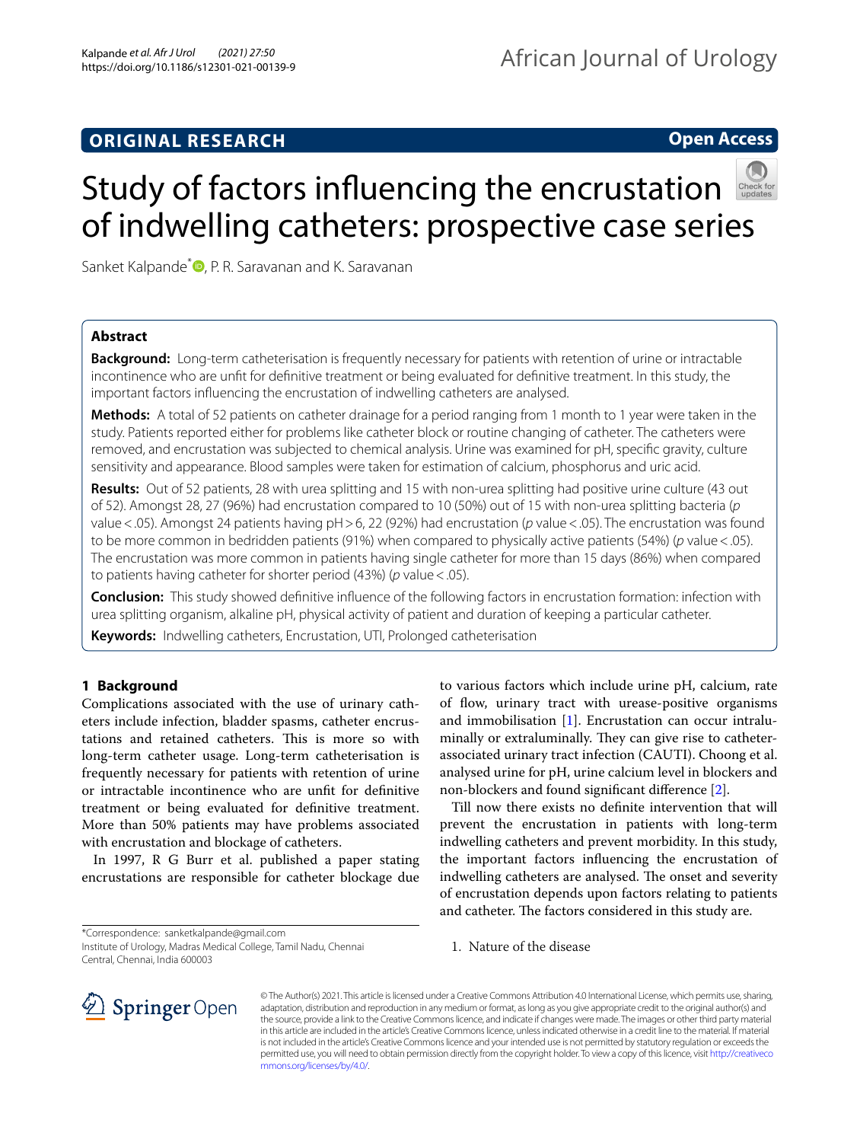## **ORIGINAL RESEARCH**

## **Open Access**



# Study of factors infuencing the encrustation of indwelling catheters: prospective case series

Sanket Kalpande<sup>\*</sup> **D**[,](http://orcid.org/0000-0002-6788-6091) P. R. Saravanan and K. Saravanan

## **Abstract**

**Background:** Long-term catheterisation is frequently necessary for patients with retention of urine or intractable incontinence who are unft for defnitive treatment or being evaluated for defnitive treatment. In this study, the important factors infuencing the encrustation of indwelling catheters are analysed.

**Methods:** A total of 52 patients on catheter drainage for a period ranging from 1 month to 1 year were taken in the study. Patients reported either for problems like catheter block or routine changing of catheter. The catheters were removed, and encrustation was subjected to chemical analysis. Urine was examined for pH, specifc gravity, culture sensitivity and appearance. Blood samples were taken for estimation of calcium, phosphorus and uric acid.

**Results:** Out of 52 patients, 28 with urea splitting and 15 with non-urea splitting had positive urine culture (43 out of 52). Amongst 28, 27 (96%) had encrustation compared to 10 (50%) out of 15 with non-urea splitting bacteria (*p* value<.05). Amongst 24 patients having pH>6, 22 (92%) had encrustation (*p* value<.05). The encrustation was found to be more common in bedridden patients (91%) when compared to physically active patients (54%) (*p* value<.05). The encrustation was more common in patients having single catheter for more than 15 days (86%) when compared to patients having catheter for shorter period (43%) (*p* value<.05).

**Conclusion:** This study showed defnitive infuence of the following factors in encrustation formation: infection with urea splitting organism, alkaline pH, physical activity of patient and duration of keeping a particular catheter.

**Keywords:** Indwelling catheters, Encrustation, UTI, Prolonged catheterisation

## **1 Background**

Complications associated with the use of urinary catheters include infection, bladder spasms, catheter encrustations and retained catheters. This is more so with long-term catheter usage. Long-term catheterisation is frequently necessary for patients with retention of urine or intractable incontinence who are unft for defnitive treatment or being evaluated for defnitive treatment. More than 50% patients may have problems associated with encrustation and blockage of catheters.

In 1997, R G Burr et al. published a paper stating encrustations are responsible for catheter blockage due

\*Correspondence: sanketkalpande@gmail.com

Institute of Urology, Madras Medical College, Tamil Nadu, Chennai Central, Chennai, India 600003

to various factors which include urine pH, calcium, rate of flow, urinary tract with urease-positive organisms and immobilisation [\[1](#page-7-0)]. Encrustation can occur intraluminally or extraluminally. They can give rise to catheterassociated urinary tract infection (CAUTI). Choong et al. analysed urine for pH, urine calcium level in blockers and non-blockers and found signifcant diference [\[2](#page-7-1)].

Till now there exists no defnite intervention that will prevent the encrustation in patients with long-term indwelling catheters and prevent morbidity. In this study, the important factors infuencing the encrustation of indwelling catheters are analysed. The onset and severity of encrustation depends upon factors relating to patients and catheter. The factors considered in this study are.

1. Nature of the disease



© The Author(s) 2021. This article is licensed under a Creative Commons Attribution 4.0 International License, which permits use, sharing, adaptation, distribution and reproduction in any medium or format, as long as you give appropriate credit to the original author(s) and the source, provide a link to the Creative Commons licence, and indicate if changes were made. The images or other third party material in this article are included in the article's Creative Commons licence, unless indicated otherwise in a credit line to the material. If material is not included in the article's Creative Commons licence and your intended use is not permitted by statutory regulation or exceeds the permitted use, you will need to obtain permission directly from the copyright holder. To view a copy of this licence, visit [http://creativeco](http://creativecommons.org/licenses/by/4.0/) [mmons.org/licenses/by/4.0/.](http://creativecommons.org/licenses/by/4.0/)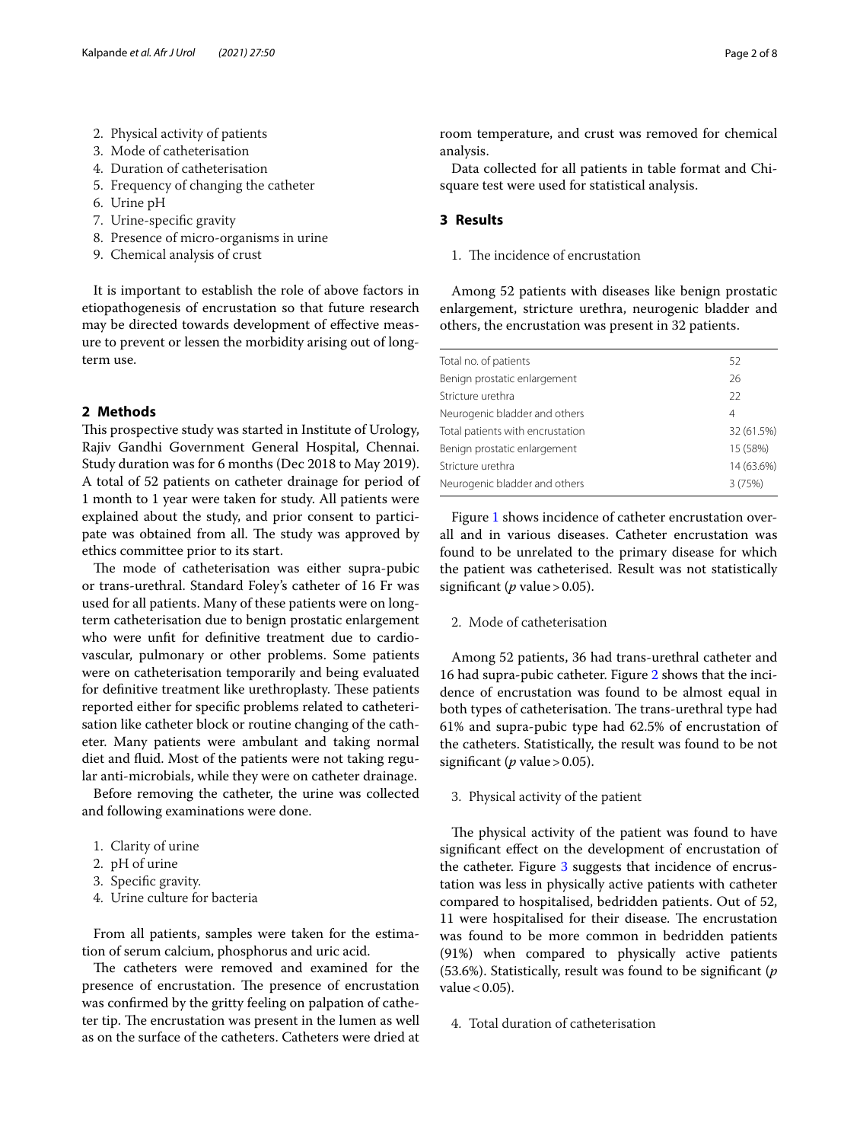- 2. Physical activity of patients
- 3. Mode of catheterisation
- 4. Duration of catheterisation
- 5. Frequency of changing the catheter
- 6. Urine pH
- 7. Urine-specifc gravity
- 8. Presence of micro-organisms in urine
- 9. Chemical analysis of crust

It is important to establish the role of above factors in etiopathogenesis of encrustation so that future research may be directed towards development of efective measure to prevent or lessen the morbidity arising out of longterm use.

## **2 Methods**

This prospective study was started in Institute of Urology, Rajiv Gandhi Government General Hospital, Chennai. Study duration was for 6 months (Dec 2018 to May 2019). A total of 52 patients on catheter drainage for period of 1 month to 1 year were taken for study. All patients were explained about the study, and prior consent to participate was obtained from all. The study was approved by ethics committee prior to its start.

The mode of catheterisation was either supra-pubic or trans-urethral. Standard Foley's catheter of 16 Fr was used for all patients. Many of these patients were on longterm catheterisation due to benign prostatic enlargement who were unft for defnitive treatment due to cardiovascular, pulmonary or other problems. Some patients were on catheterisation temporarily and being evaluated for definitive treatment like urethroplasty. These patients reported either for specifc problems related to catheterisation like catheter block or routine changing of the catheter. Many patients were ambulant and taking normal diet and fuid. Most of the patients were not taking regular anti-microbials, while they were on catheter drainage.

Before removing the catheter, the urine was collected and following examinations were done.

- 1. Clarity of urine
- 2. pH of urine
- 3. Specifc gravity.
- 4. Urine culture for bacteria

From all patients, samples were taken for the estimation of serum calcium, phosphorus and uric acid.

The catheters were removed and examined for the presence of encrustation. The presence of encrustation was confrmed by the gritty feeling on palpation of catheter tip. The encrustation was present in the lumen as well as on the surface of the catheters. Catheters were dried at room temperature, and crust was removed for chemical analysis.

Data collected for all patients in table format and Chisquare test were used for statistical analysis.

## **3 Results**

1. The incidence of encrustation

Among 52 patients with diseases like benign prostatic enlargement, stricture urethra, neurogenic bladder and others, the encrustation was present in 32 patients.

| Total no. of patients            | 52         |
|----------------------------------|------------|
| Benign prostatic enlargement     | 26         |
| Stricture urethra                | 22         |
| Neurogenic bladder and others    | 4          |
| Total patients with encrustation | 32 (61.5%) |
| Benign prostatic enlargement     | 15 (58%)   |
| Stricture urethra                | 14 (63.6%) |
| Neurogenic bladder and others    | 3(75%)     |
|                                  |            |

Figure [1](#page-2-0) shows incidence of catheter encrustation overall and in various diseases. Catheter encrustation was found to be unrelated to the primary disease for which the patient was catheterised. Result was not statistically significant ( $p$  value > 0.05).

2. Mode of catheterisation

Among 52 patients, 36 had trans-urethral catheter and 16 had supra-pubic catheter. Figure [2](#page-2-1) shows that the incidence of encrustation was found to be almost equal in both types of catheterisation. The trans-urethral type had 61% and supra-pubic type had 62.5% of encrustation of the catheters. Statistically, the result was found to be not significant ( $p$  value > 0.05).

3. Physical activity of the patient

The physical activity of the patient was found to have signifcant efect on the development of encrustation of the catheter. Figure [3](#page-3-0) suggests that incidence of encrustation was less in physically active patients with catheter compared to hospitalised, bedridden patients. Out of 52, 11 were hospitalised for their disease. The encrustation was found to be more common in bedridden patients (91%) when compared to physically active patients (53.6%). Statistically, result was found to be signifcant (*p* value  $< 0.05$ ).

4. Total duration of catheterisation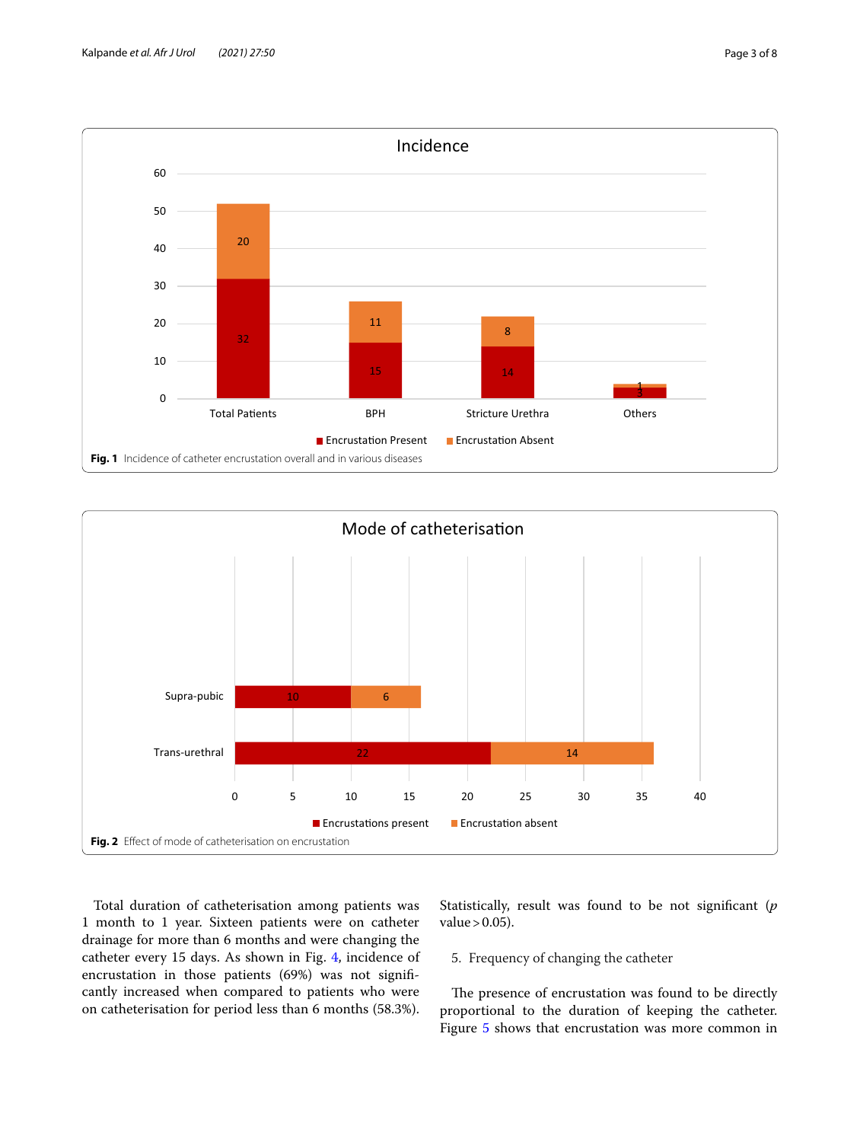

<span id="page-2-0"></span>

<span id="page-2-1"></span>Total duration of catheterisation among patients was 1 month to 1 year. Sixteen patients were on catheter drainage for more than 6 months and were changing the catheter every 15 days. As shown in Fig. [4](#page-3-1), incidence of encrustation in those patients (69%) was not signifcantly increased when compared to patients who were on catheterisation for period less than 6 months (58.3%). Statistically, result was found to be not signifcant (*p* value  $> 0.05$ ).

5. Frequency of changing the catheter

The presence of encrustation was found to be directly proportional to the duration of keeping the catheter. Figure [5](#page-4-0) shows that encrustation was more common in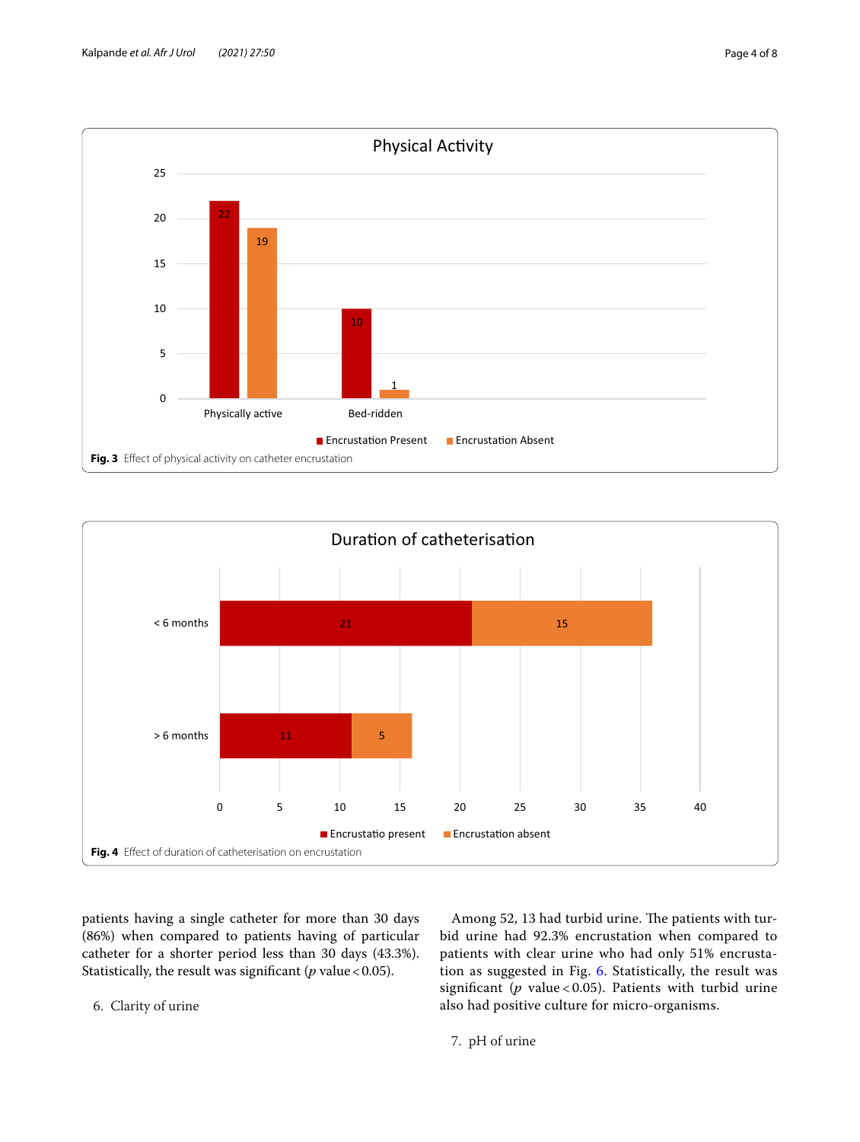

<span id="page-3-0"></span>

<span id="page-3-1"></span>patients having a single catheter for more than 30 days (86%) when compared to patients having of particular catheter for a shorter period less than 30 days (43.3%). Statistically, the result was significant ( $p$  value < 0.05).

Among 52, 13 had turbid urine. The patients with turbid urine had 92.3% encrustation when compared to patients with clear urine who had only 51% encrustation as suggested in Fig. [6](#page-4-1). Statistically, the result was signifcant (*p* value < 0.05). Patients with turbid urine also had positive culture for micro-organisms.

6. Clarity of urine

7. pH of urine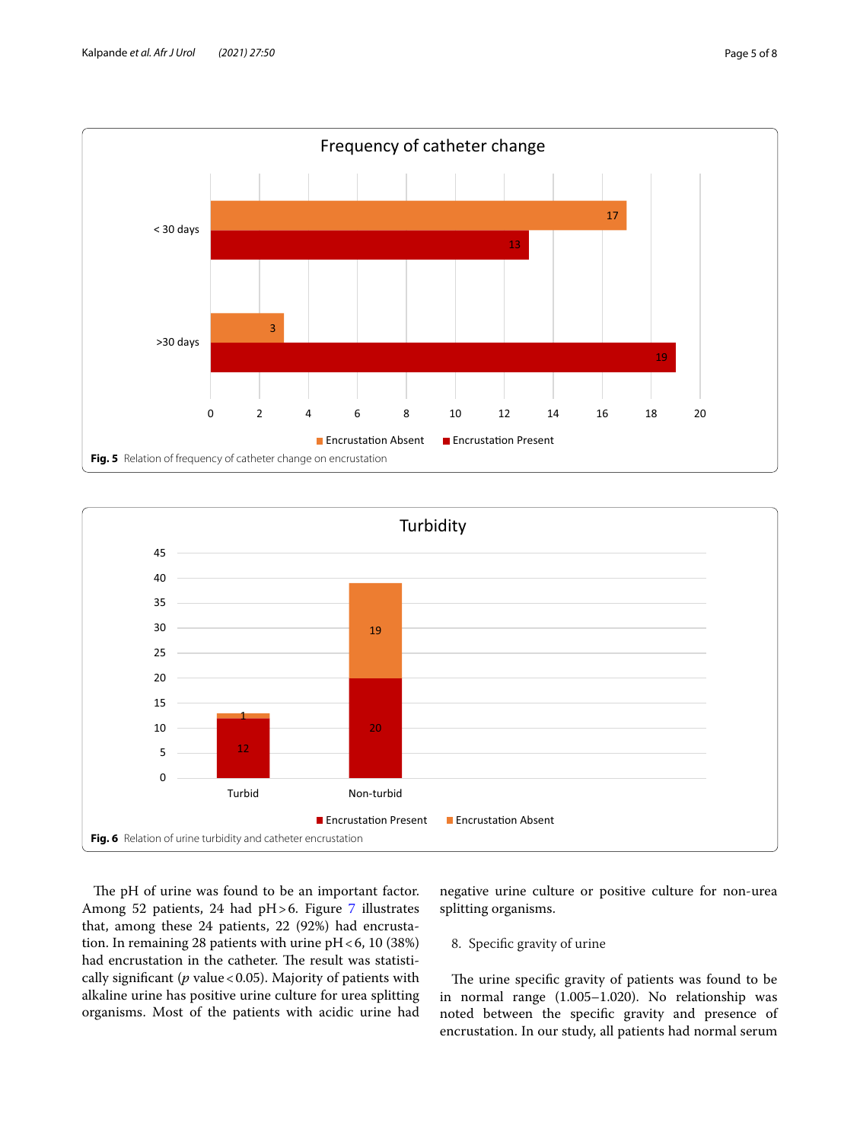

<span id="page-4-0"></span>

<span id="page-4-1"></span>The pH of urine was found to be an important factor. Among 52 patients, 24 had  $pH>6$ . Figure [7](#page-5-0) illustrates that, among these 24 patients, 22 (92%) had encrustation. In remaining 28 patients with urine  $pH < 6$ , 10 (38%) had encrustation in the catheter. The result was statistically significant (*p* value < 0.05). Majority of patients with alkaline urine has positive urine culture for urea splitting organisms. Most of the patients with acidic urine had negative urine culture or positive culture for non-urea splitting organisms.

## 8. Specifc gravity of urine

The urine specific gravity of patients was found to be in normal range (1.005–1.020). No relationship was noted between the specifc gravity and presence of encrustation. In our study, all patients had normal serum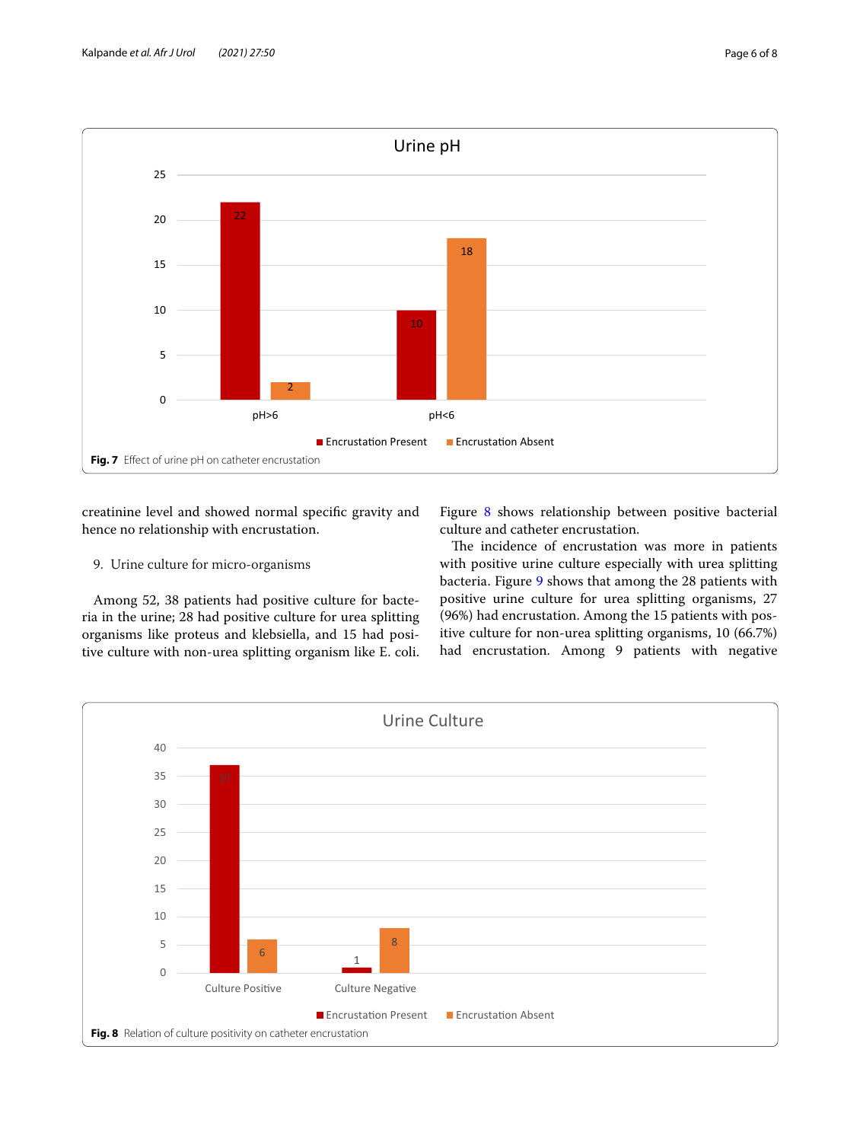

<span id="page-5-0"></span>creatinine level and showed normal specifc gravity and hence no relationship with encrustation.

## 9. Urine culture for micro-organisms

Among 52, 38 patients had positive culture for bacteria in the urine; 28 had positive culture for urea splitting organisms like proteus and klebsiella, and 15 had positive culture with non-urea splitting organism like E. coli.

Figure [8](#page-5-1) shows relationship between positive bacterial culture and catheter encrustation.

The incidence of encrustation was more in patients with positive urine culture especially with urea splitting bacteria. Figure [9](#page-6-0) shows that among the 28 patients with positive urine culture for urea splitting organisms, 27 (96%) had encrustation. Among the 15 patients with positive culture for non-urea splitting organisms, 10 (66.7%) had encrustation. Among 9 patients with negative

<span id="page-5-1"></span>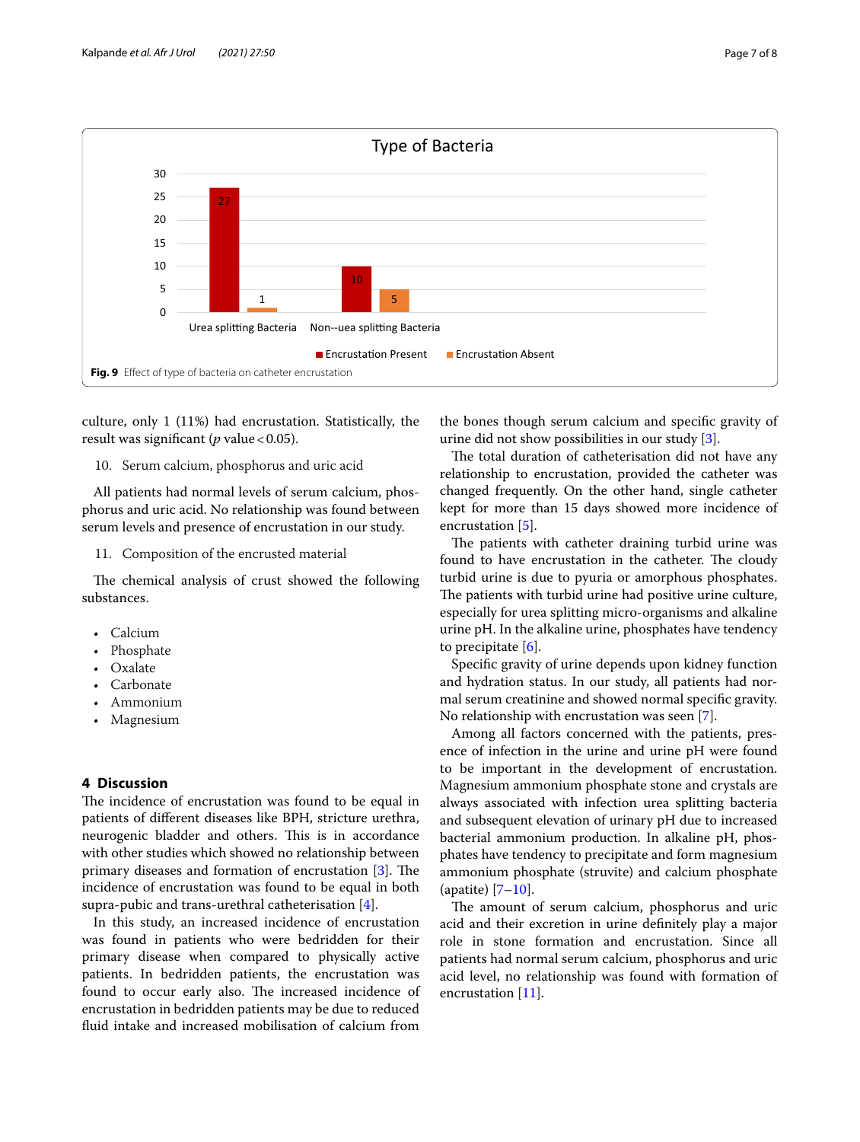

<span id="page-6-0"></span>culture, only 1 (11%) had encrustation. Statistically, the result was significant (*p* value < 0.05).

#### 10. Serum calcium, phosphorus and uric acid

All patients had normal levels of serum calcium, phosphorus and uric acid. No relationship was found between serum levels and presence of encrustation in our study.

#### 11. Composition of the encrusted material

The chemical analysis of crust showed the following substances.

- Calcium
- Phosphate
- Oxalate
- Carbonate
- Ammonium
- Magnesium

### **4 Discussion**

The incidence of encrustation was found to be equal in patients of diferent diseases like BPH, stricture urethra, neurogenic bladder and others. This is in accordance with other studies which showed no relationship between primary diseases and formation of encrustation  $[3]$  $[3]$  $[3]$ . The incidence of encrustation was found to be equal in both supra-pubic and trans-urethral catheterisation [[4\]](#page-7-3).

In this study, an increased incidence of encrustation was found in patients who were bedridden for their primary disease when compared to physically active patients. In bedridden patients, the encrustation was found to occur early also. The increased incidence of encrustation in bedridden patients may be due to reduced fuid intake and increased mobilisation of calcium from

the bones though serum calcium and specifc gravity of urine did not show possibilities in our study [[3\]](#page-7-2).

The total duration of catheterisation did not have any relationship to encrustation, provided the catheter was changed frequently. On the other hand, single catheter kept for more than 15 days showed more incidence of encrustation [[5\]](#page-7-4).

The patients with catheter draining turbid urine was found to have encrustation in the catheter. The cloudy turbid urine is due to pyuria or amorphous phosphates. The patients with turbid urine had positive urine culture, especially for urea splitting micro-organisms and alkaline urine pH. In the alkaline urine, phosphates have tendency to precipitate [[6\]](#page-7-5).

Specifc gravity of urine depends upon kidney function and hydration status. In our study, all patients had normal serum creatinine and showed normal specifc gravity. No relationship with encrustation was seen [[7\]](#page-7-6).

Among all factors concerned with the patients, presence of infection in the urine and urine pH were found to be important in the development of encrustation. Magnesium ammonium phosphate stone and crystals are always associated with infection urea splitting bacteria and subsequent elevation of urinary pH due to increased bacterial ammonium production. In alkaline pH, phosphates have tendency to precipitate and form magnesium ammonium phosphate (struvite) and calcium phosphate (apatite) [\[7](#page-7-6)[–10\]](#page-7-7).

The amount of serum calcium, phosphorus and uric acid and their excretion in urine defnitely play a major role in stone formation and encrustation. Since all patients had normal serum calcium, phosphorus and uric acid level, no relationship was found with formation of encrustation [[11\]](#page-7-8).